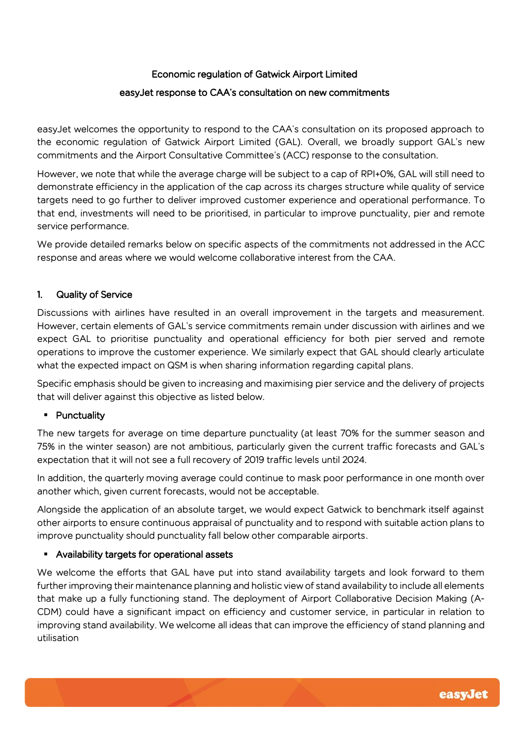## Economic regulation of Gatwick Airport Limited

### easyJet response to CAA's consultation on new commitments

easyJet welcomes the opportunity to respond to the CAA's consultation on its proposed approach to the economic regulation of Gatwick Airport Limited (GAL). Overall, we broadly support GAL's new commitments and the Airport Consultative Committee's (ACC) response to the consultation.

However, we note that while the average charge will be subject to a cap of RPI+0%, GAL will still need to demonstrate efficiency in the application of the cap across its charges structure while quality of service targets need to go further to deliver improved customer experience and operational performance. To that end, investments will need to be prioritised, in particular to improve punctuality, pier and remote service performance.

We provide detailed remarks below on specific aspects of the commitments not addressed in the ACC response and areas where we would welcome collaborative interest from the CAA.

### 1. Quality of Service

Discussions with airlines have resulted in an overall improvement in the targets and measurement. However, certain elements of GAL's service commitments remain under discussion with airlines and we expect GAL to prioritise punctuality and operational efficiency for both pier served and remote operations to improve the customer experience. We similarly expect that GAL should clearly articulate what the expected impact on QSM is when sharing information regarding capital plans.

Specific emphasis should be given to increasing and maximising pier service and the delivery of projects that will deliver against this objective as listed below.

### ▪ Punctuality

The new targets for average on time departure punctuality (at least 70% for the summer season and 75% in the winter season) are not ambitious, particularly given the current traffic forecasts and GAL's expectation that it will not see a full recovery of 2019 traffic levels until 2024.

In addition, the quarterly moving average could continue to mask poor performance in one month over another which, given current forecasts, would not be acceptable.

Alongside the application of an absolute target, we would expect Gatwick to benchmark itself against other airports to ensure continuous appraisal of punctuality and to respond with suitable action plans to improve punctuality should punctuality fall below other comparable airports.

### ▪ Availability targets for operational assets

We welcome the efforts that GAL have put into stand availability targets and look forward to them further improving their maintenance planning and holistic view of stand availability to include all elements that make up a fully functioning stand. The deployment of Airport Collaborative Decision Making (A-CDM) could have a significant impact on efficiency and customer service, in particular in relation to improving stand availability. We welcome all ideas that can improve the efficiency of stand planning and utilisation